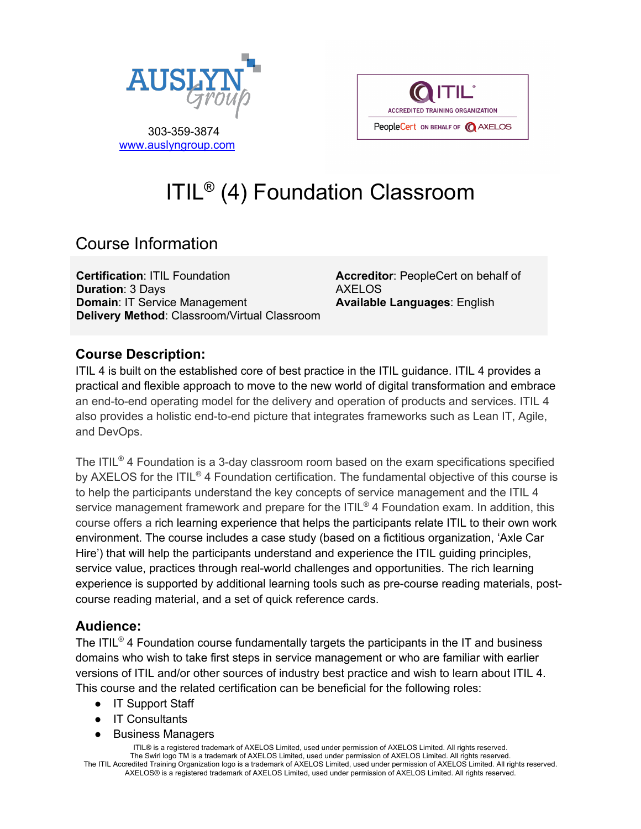

**ACCREDITED TRAINING ORGANIZATION** PeopleCert ON BEHALF OF @ AXELOS

 303-359-3874 www.auslyngroup.com

# ITIL® (4) Foundation Classroom

# Course Information

**Certification**: ITIL Foundation **Duration**: 3 Days **Domain**: IT Service Management **Delivery Method**: Classroom/Virtual Classroom **Accreditor**: PeopleCert on behalf of AXELOS **Available Languages**: English

## **Course Description:**

ITIL 4 is built on the established core of best practice in the ITIL guidance. ITIL 4 provides a practical and flexible approach to move to the new world of digital transformation and embrace an end-to-end operating model for the delivery and operation of products and services. ITIL 4 also provides a holistic end-to-end picture that integrates frameworks such as Lean IT, Agile, and DevOps.

The ITIL® 4 Foundation is a 3-day classroom room based on the exam specifications specified by AXELOS for the ITIL<sup>®</sup> 4 Foundation certification. The fundamental objective of this course is to help the participants understand the key concepts of service management and the ITIL 4 service management framework and prepare for the ITIL<sup>®</sup> 4 Foundation exam. In addition, this course offers a rich learning experience that helps the participants relate ITIL to their own work environment. The course includes a case study (based on a fictitious organization, 'Axle Car Hire') that will help the participants understand and experience the ITIL guiding principles, service value, practices through real-world challenges and opportunities. The rich learning experience is supported by additional learning tools such as pre-course reading materials, postcourse reading material, and a set of quick reference cards.

#### **Audience:**

The ITIL<sup>®</sup> 4 Foundation course fundamentally targets the participants in the IT and business domains who wish to take first steps in service management or who are familiar with earlier versions of ITIL and/or other sources of industry best practice and wish to learn about ITIL 4. This course and the related certification can be beneficial for the following roles:

- IT Support Staff
- **IT Consultants**
- **Business Managers**

ITIL® is a registered trademark of AXELOS Limited, used under permission of AXELOS Limited. All rights reserved. The Swirl logo TM is a trademark of AXELOS Limited, used under permission of AXELOS Limited. All rights reserved. The ITIL Accredited Training Organization logo is a trademark of AXELOS Limited, used under permission of AXELOS Limited. All rights reserved. AXELOS® is a registered trademark of AXELOS Limited, used under permission of AXELOS Limited. All rights reserved.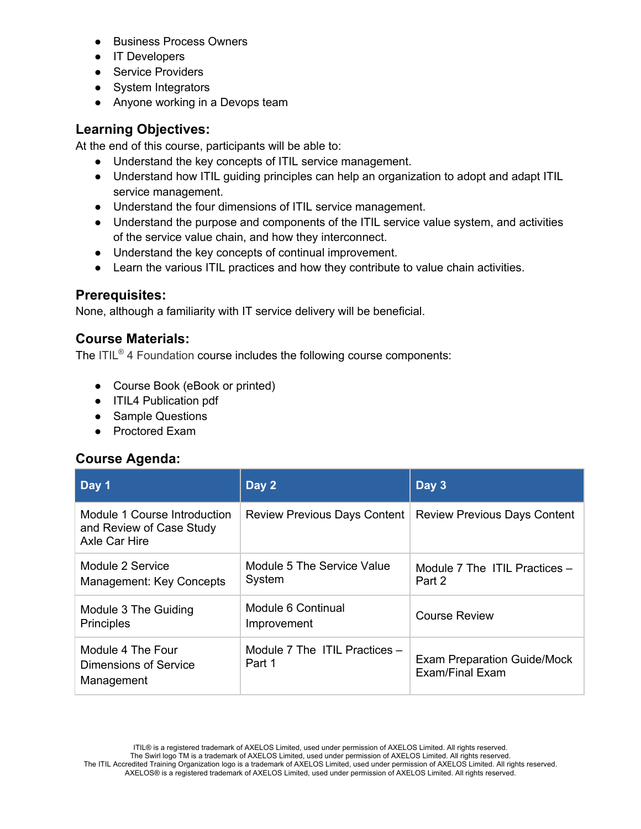- **Business Process Owners**
- IT Developers
- Service Providers
- System Integrators
- Anyone working in a Devops team

#### **Learning Objectives:**

At the end of this course, participants will be able to:

- Understand the key concepts of ITIL service management.
- Understand how ITIL guiding principles can help an organization to adopt and adapt ITIL service management.
- Understand the four dimensions of ITIL service management.
- Understand the purpose and components of the ITIL service value system, and activities of the service value chain, and how they interconnect.
- Understand the key concepts of continual improvement.
- Learn the various ITIL practices and how they contribute to value chain activities.

#### **Prerequisites:**

None, although a familiarity with IT service delivery will be beneficial.

#### **Course Materials:**

The ITIL® 4 Foundation course includes the following course components:

- Course Book (eBook or printed)
- ITIL4 Publication pdf
- Sample Questions
- Proctored Exam

#### **Course Agenda:**

| Day 1                                                                     | Day 2                                   | Day 3                                                 |
|---------------------------------------------------------------------------|-----------------------------------------|-------------------------------------------------------|
| Module 1 Course Introduction<br>and Review of Case Study<br>Axle Car Hire | <b>Review Previous Days Content</b>     | <b>Review Previous Days Content</b>                   |
| Module 2 Service<br>Management: Key Concepts                              | Module 5 The Service Value<br>System    | Module 7 The ITIL Practices -<br>Part 2               |
| Module 3 The Guiding<br><b>Principles</b>                                 | Module 6 Continual<br>Improvement       | Course Review                                         |
| Module 4 The Four<br>Dimensions of Service<br>Management                  | Module 7 The ITIL Practices -<br>Part 1 | <b>Exam Preparation Guide/Mock</b><br>Exam/Final Exam |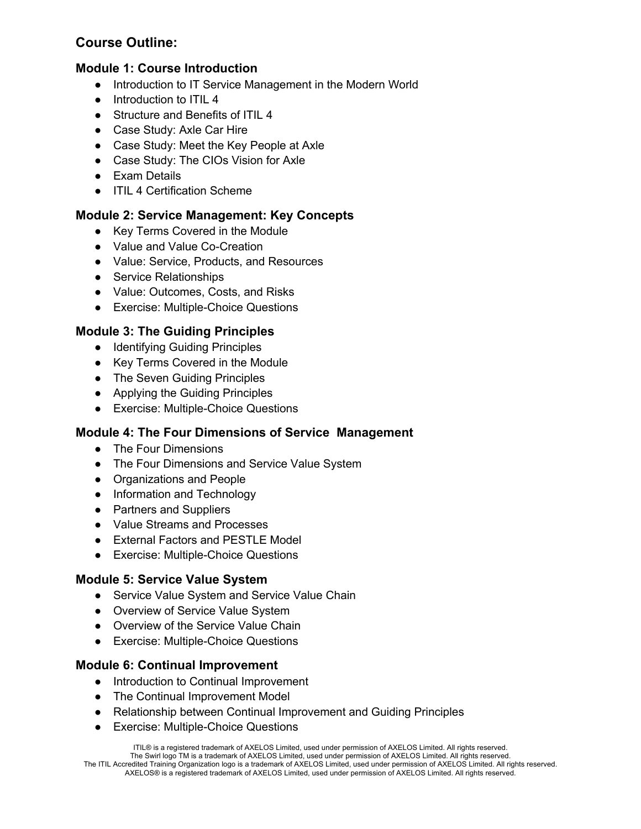# **Course Outline:**

#### **Module 1: Course Introduction**

- Introduction to IT Service Management in the Modern World
- Introduction to ITIL 4
- Structure and Benefits of ITIL 4
- Case Study: Axle Car Hire
- Case Study: Meet the Key People at Axle
- Case Study: The CIOs Vision for Axle
- Exam Details
- ITIL 4 Certification Scheme

#### **Module 2: Service Management: Key Concepts**

- Key Terms Covered in the Module
- Value and Value Co-Creation
- Value: Service, Products, and Resources
- Service Relationships
- Value: Outcomes, Costs, and Risks
- Exercise: Multiple-Choice Questions

#### **Module 3: The Guiding Principles**

- Identifying Guiding Principles
- Key Terms Covered in the Module
- The Seven Guiding Principles
- Applying the Guiding Principles
- Exercise: Multiple-Choice Questions

#### **Module 4: The Four Dimensions of Service Management**

- The Four Dimensions
- The Four Dimensions and Service Value System
- Organizations and People
- Information and Technology
- Partners and Suppliers
- Value Streams and Processes
- External Factors and PESTLE Model
- Exercise: Multiple-Choice Questions

#### **Module 5: Service Value System**

- Service Value System and Service Value Chain
- Overview of Service Value System
- Overview of the Service Value Chain
- Exercise: Multiple-Choice Questions

#### **Module 6: Continual Improvement**

- Introduction to Continual Improvement
- The Continual Improvement Model
- Relationship between Continual Improvement and Guiding Principles
- Exercise: Multiple-Choice Questions